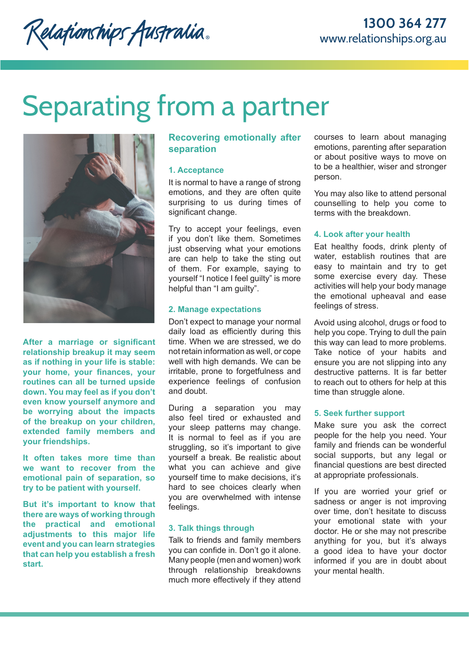Relationships Australia.

# Separating from a partner



**After a marriage or significant relationship breakup it may seem as if nothing in your life is stable: your home, your finances, your routines can all be turned upside down. You may feel as if you don't even know yourself anymore and be worrying about the impacts of the breakup on your children, extended family members and your friendships.**

**It often takes more time than we want to recover from the emotional pain of separation, so try to be patient with yourself.** 

**But it's important to know that there are ways of working through the practical and emotional adjustments to this major life event and you can learn strategies that can help you establish a fresh start.** 

# **Recovering emotionally after separation**

#### **1. Acceptance**

It is normal to have a range of strong emotions, and they are often quite surprising to us during times of significant change.

Try to accept your feelings, even if you don't like them. Sometimes just observing what your emotions are can help to take the sting out of them. For example, saying to yourself "I notice I feel guilty" is more helpful than "I am guilty".

#### **2. Manage expectations**

Don't expect to manage your normal daily load as efficiently during this time. When we are stressed, we do not retain information as well, or cope well with high demands. We can be irritable, prone to forgetfulness and experience feelings of confusion and doubt.

During a separation you may also feel tired or exhausted and your sleep patterns may change. It is normal to feel as if you are struggling, so it's important to give yourself a break. Be realistic about what you can achieve and give yourself time to make decisions, it's hard to see choices clearly when you are overwhelmed with intense feelings.

# **3. Talk things through**

Talk to friends and family members you can confide in. Don't go it alone. Many people (men and women) work through relationship breakdowns much more effectively if they attend courses to learn about managing emotions, parenting after separation or about positive ways to move on to be a healthier, wiser and stronger person.

You may also like to attend personal counselling to help you come to terms with the breakdown.

### **4. Look after your health**

Eat healthy foods, drink plenty of water, establish routines that are easy to maintain and try to get some exercise every day. These activities will help your body manage the emotional upheaval and ease feelings of stress.

Avoid using alcohol, drugs or food to help you cope. Trying to dull the pain this way can lead to more problems. Take notice of your habits and ensure you are not slipping into any destructive patterns. It is far better to reach out to others for help at this time than struggle alone.

#### **5. Seek further support**

Make sure you ask the correct people for the help you need. Your family and friends can be wonderful social supports, but any legal or financial questions are best directed at appropriate professionals.

If you are worried your grief or sadness or anger is not improving over time, don't hesitate to discuss your emotional state with your doctor. He or she may not prescribe anything for you, but it's always a good idea to have your doctor informed if you are in doubt about your mental health.